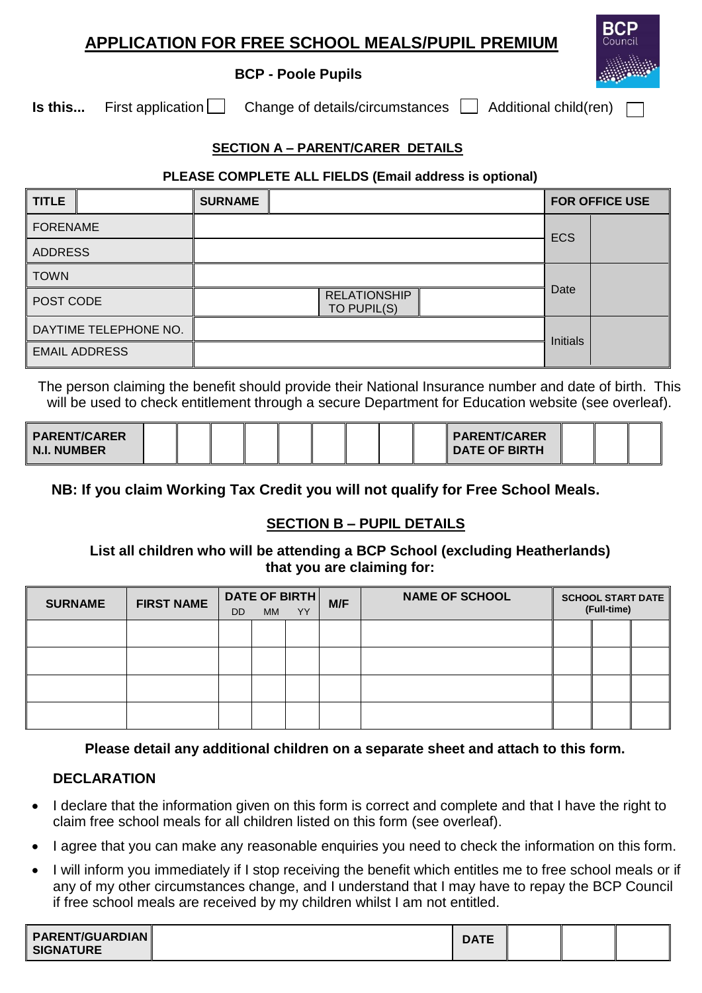## **APPLICATION FOR FREE SCHOOL MEALS/PUPIL PREMIUM**

#### **BCP - Poole Pupils**

**Is this...** First application  $\Box$  Change of details/circumstances  $\Box$  Additional child(ren)

## **SECTION A – PARENT/CARER DETAILS**

#### **PLEASE COMPLETE ALL FIELDS (Email address is optional)**

| <b>TITLE</b>          | <b>SURNAME</b>                     | <b>FOR OFFICE USE</b> |  |
|-----------------------|------------------------------------|-----------------------|--|
| <b>FORENAME</b>       |                                    | <b>ECS</b>            |  |
| ADDRESS               |                                    |                       |  |
| <b>TOWN</b>           |                                    |                       |  |
| POST CODE             | <b>RELATIONSHIP</b><br>TO PUPIL(S) | Date                  |  |
| DAYTIME TELEPHONE NO. |                                    | Initials              |  |
| <b>EMAIL ADDRESS</b>  |                                    |                       |  |

The person claiming the benefit should provide their National Insurance number and date of birth. This will be used to check entitlement through a secure Department for Education website (see overleaf).

| PARENT/CARER<br><b>N.I. NUMBER</b> |  |  |  |  |  |  |  |  |  | PARENT/CARER<br><b>DATE OF BIRTH</b> |  |  |  |
|------------------------------------|--|--|--|--|--|--|--|--|--|--------------------------------------|--|--|--|
|------------------------------------|--|--|--|--|--|--|--|--|--|--------------------------------------|--|--|--|

**NB: If you claim Working Tax Credit you will not qualify for Free School Meals.**

## **SECTION B – PUPIL DETAILS**

#### **List all children who will be attending a BCP School (excluding Heatherlands) that you are claiming for:**

| <b>SURNAME</b> | <b>FIRST NAME</b> | DATE OF BIRTH<br><b>YY</b><br><b>DD</b><br><b>MM</b> |  |  | M/F | <b>NAME OF SCHOOL</b> | <b>SCHOOL START DATE</b><br>(Full-time) |  |  |
|----------------|-------------------|------------------------------------------------------|--|--|-----|-----------------------|-----------------------------------------|--|--|
|                |                   |                                                      |  |  |     |                       |                                         |  |  |
|                |                   |                                                      |  |  |     |                       |                                         |  |  |
|                |                   |                                                      |  |  |     |                       |                                         |  |  |
|                |                   |                                                      |  |  |     |                       |                                         |  |  |

## **Please detail any additional children on a separate sheet and attach to this form.**

## **DECLARATION**

- I declare that the information given on this form is correct and complete and that I have the right to claim free school meals for all children listed on this form (see overleaf).
- I agree that you can make any reasonable enquiries you need to check the information on this form.
- I will inform you immediately if I stop receiving the benefit which entitles me to free school meals or if any of my other circumstances change, and I understand that I may have to repay the BCP Council if free school meals are received by my children whilst I am not entitled.

| <b>PARENT/GUARDIAN</b><br><b>SIGNATURE</b> |  | <b>DATE</b> |  |  |  |
|--------------------------------------------|--|-------------|--|--|--|
|--------------------------------------------|--|-------------|--|--|--|